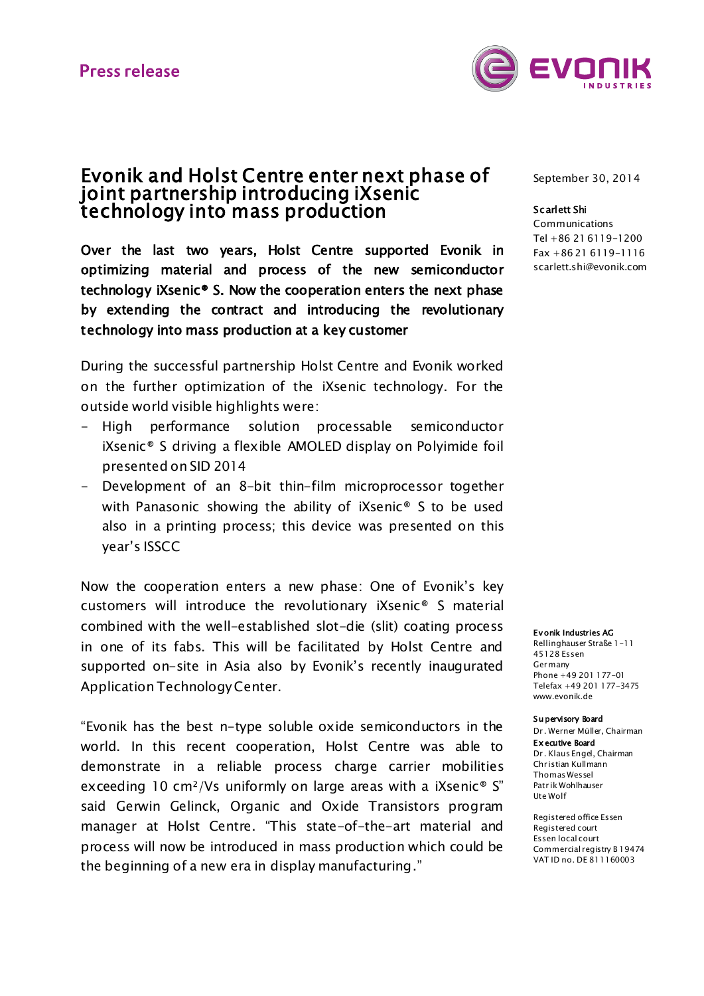

# Evonik and Holst Centre enter next phase of joint partnership introducing iXsenic technology into mass production

Over the last two years, Holst Centre supported Evonik in optimizing material and process of the new semiconductor technology iXsenic® S. Now the cooperation enters the next phase by extending the contract and introducing the revolutionary technology into mass production at a key customer

During the successful partnership Holst Centre and Evonik worked on the further optimization of the iXsenic technology. For the outside world visible highlights were:

- High performance solution processable semiconductor iXsenic® S driving a flexible AMOLED display on Polyimide foil presented on SID 2014
- Development of an 8-bit thin-film microprocessor together with Panasonic showing the ability of iXsenic® S to be used also in a printing process; this device was presented on this year's ISSCC

Now the cooperation enters a new phase: One of Evonik's key customers will introduce the revolutionary iXsenic® S material combined with the well-established slot-die (slit) coating process in one of its fabs. This will be facilitated by Holst Centre and supported on-site in Asia also by Evonik's recently inaugurated Application Technology Center.

"Evonik has the best n-type soluble oxide semiconductors in the world. In this recent cooperation, Holst Centre was able to demonstrate in a reliable process charge carrier mobilities exceeding 10 cm<sup>2</sup>/Vs uniformly on large areas with a iXsenic<sup>®</sup> S" said Gerwin Gelinck, Organic and Oxide Transistors program manager at Holst Centre. "This state-of-the-art material and process will now be introduced in mass production which could be the beginning of a new era in display manufacturing."

September 30, 2014

#### Scarlett Shi

Communications Tel +86 21 6119-1200 Fax +86 21 6119-1116 scarlett.shi@evonik.com

#### Evonik Industries AG

Rellinghauser Straße 1-11 45128 Essen **Germany** Phone +49 201 177-01 Telefax +49 201 177-3475 www.evonik.de

#### Supervisory Board

Dr. Werner Müller, Chairman Ex ecutive Board Dr. Klaus Engel, Chairman Christian Kullmann Thomas Wessel Patrik Wohlhauser Ute Wolf

Registered office Essen Registered court Essen local court Commercial registry B 19474 VAT ID no. DE 811160003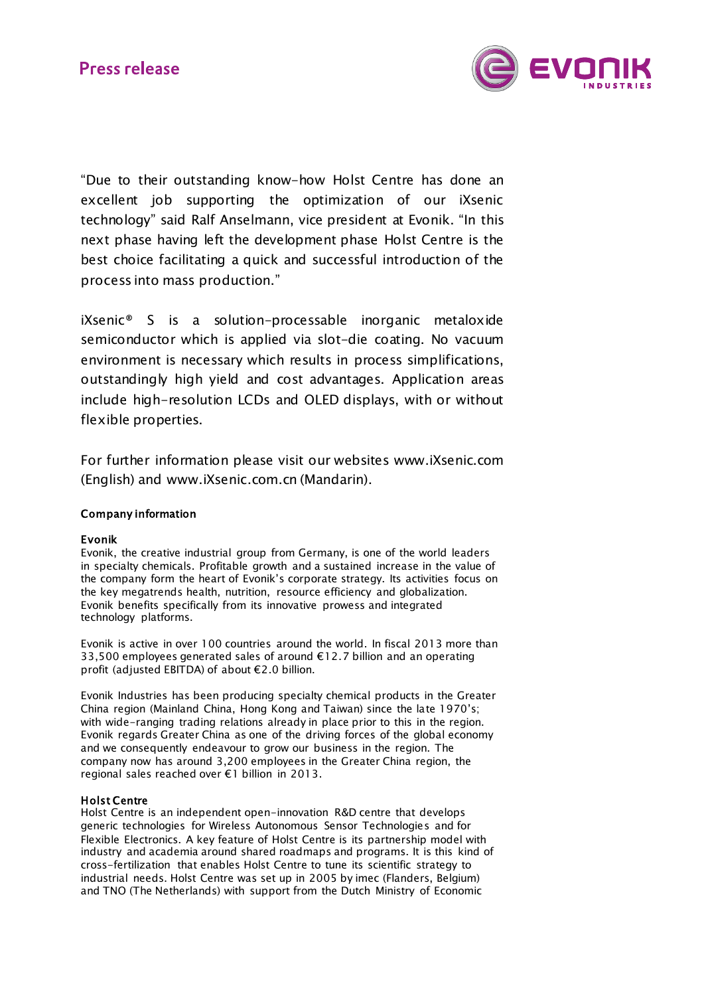

"Due to their outstanding know-how Holst Centre has done an excellent job supporting the optimization of our iXsenic technology" said Ralf Anselmann, vice president at Evonik. "In this next phase having left the development phase Holst Centre is the best choice facilitating a quick and successful introduction of the process into mass production."

iXsenic® S is a solution-processable inorganic metaloxide semiconductor which is applied via slot-die coating. No vacuum environment is necessary which results in process simplifications, outstandingly high yield and cost advantages. Application areas include high-resolution LCDs and OLED displays, with or without flexible properties.

For further information please visit our websites [www.iXsenic.com](http://www.ixsenic.com/) (English) and [www.iXsenic.com.cn](http://www.ixsenic.com.cn/) (Mandarin).

## Company information

## Evonik

Evonik, the creative industrial group from Germany, is one of the world leaders in specialty chemicals. Profitable growth and a sustained increase in the value of the company form the heart of Evonik's corporate strategy. Its activities focus on the key megatrends health, nutrition, resource efficiency and globalization. Evonik benefits specifically from its innovative prowess and integrated technology platforms.

Evonik is active in over 100 countries around the world. In fiscal 2013 more than 33,500 employees generated sales of around €12.7 billion and an operating profit (adjusted EBITDA) of about €2.0 billion.

Evonik Industries has been producing specialty chemical products in the Greater China region (Mainland China, Hong Kong and Taiwan) since the late 1970's; with wide-ranging trading relations already in place prior to this in the region. Evonik regards Greater China as one of the driving forces of the global economy and we consequently endeavour to grow our business in the region. The company now has around 3,200 employees in the Greater China region, the regional sales reached over €1 billion in 2013.

### Holst Centre

Holst Centre is an independent open-innovation R&D centre that develops generic technologies for Wireless Autonomous Sensor Technologies and for Flexible Electronics. A key feature of Holst Centre is its partnership model with industry and academia around shared roadmaps and programs. It is this kind of cross-fertilization that enables Holst Centre to tune its scientific strategy to industrial needs. Holst Centre was set up in 2005 by imec (Flanders, Belgium) and TNO (The Netherlands) with support from the Dutch Ministry of Economic